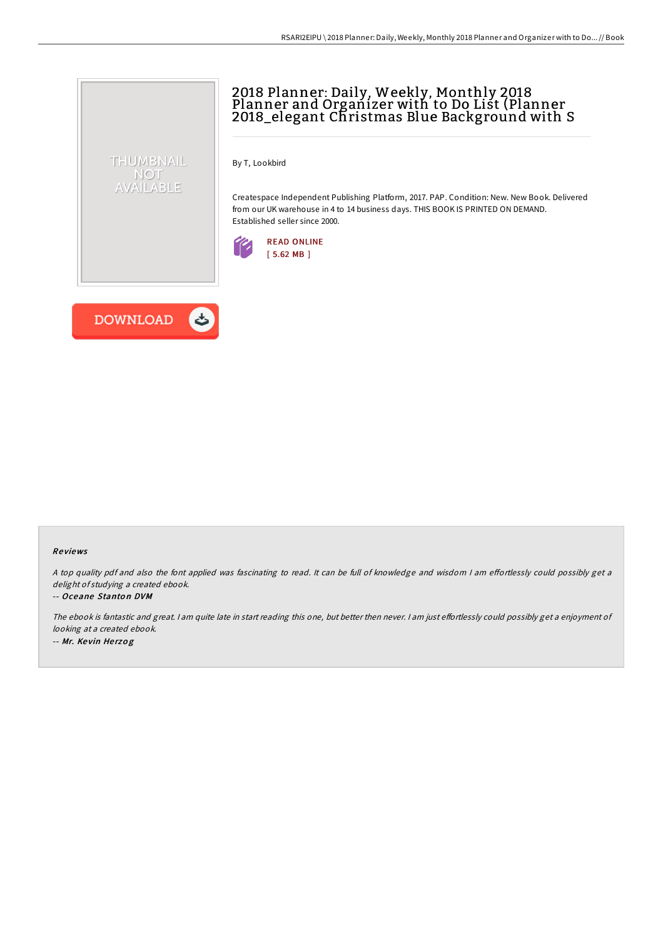# 2018 Planner: Daily, Weekly, Monthly 2018 Planner and Organizer with to Do List (Planner 2018\_elegant Christmas Blue Background with S

By T, Lookbird

Createspace Independent Publishing Platform, 2017. PAP. Condition: New. New Book. Delivered from our UK warehouse in 4 to 14 business days. THIS BOOK IS PRINTED ON DEMAND. Established seller since 2000.





THUMBNAIL NOT AVAILABLE

### Re views

A top quality pdf and also the font applied was fascinating to read. It can be full of knowledge and wisdom I am effortlessly could possibly get a delight of studying <sup>a</sup> created ebook.

#### -- Oceane Stanton DVM

The ebook is fantastic and great. I am quite late in start reading this one, but better then never. I am just effortlessly could possibly get a enjoyment of looking at <sup>a</sup> created ebook. -- Mr. Ke vin He rzo g